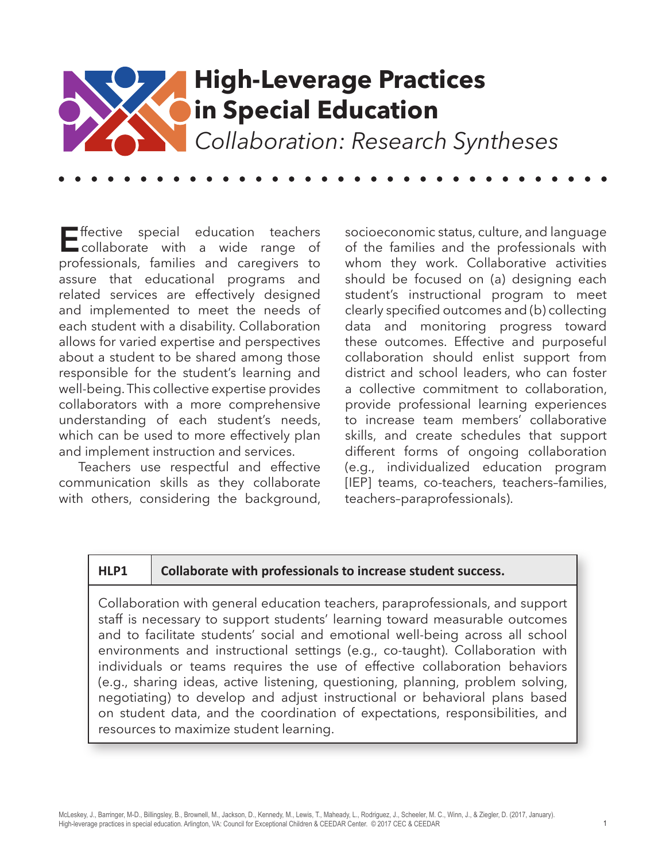

**E**ffective special education teachers<br>
collaborate with a wide range of professionals, families and caregivers to assure that educational programs and related services are effectively designed and implemented to meet the needs of each student with a disability. Collaboration allows for varied expertise and perspectives about a student to be shared among those responsible for the student's learning and well-being. This collective expertise provides collaborators with a more comprehensive understanding of each student's needs, which can be used to more effectively plan and implement instruction and services.

Teachers use respectful and effective communication skills as they collaborate with others, considering the background,

socioeconomic status, culture, and language of the families and the professionals with whom they work. Collaborative activities should be focused on (a) designing each student's instructional program to meet clearly specified outcomes and (b) collecting data and monitoring progress toward these outcomes. Effective and purposeful collaboration should enlist support from district and school leaders, who can foster a collective commitment to collaboration, provide professional learning experiences to increase team members' collaborative skills, and create schedules that support different forms of ongoing collaboration (e.g., individualized education program [IEP] teams, co-teachers, teachers-families, teachers–paraprofessionals).

#### **HLP1 Collaborate with professionals to increase student success.**

Collaboration with general education teachers, paraprofessionals, and support staff is necessary to support students' learning toward measurable outcomes and to facilitate students' social and emotional well-being across all school environments and instructional settings (e.g., co-taught). Collaboration with individuals or teams requires the use of effective collaboration behaviors (e.g., sharing ideas, active listening, questioning, planning, problem solving, negotiating) to develop and adjust instructional or behavioral plans based on student data, and the coordination of expectations, responsibilities, and resources to maximize student learning.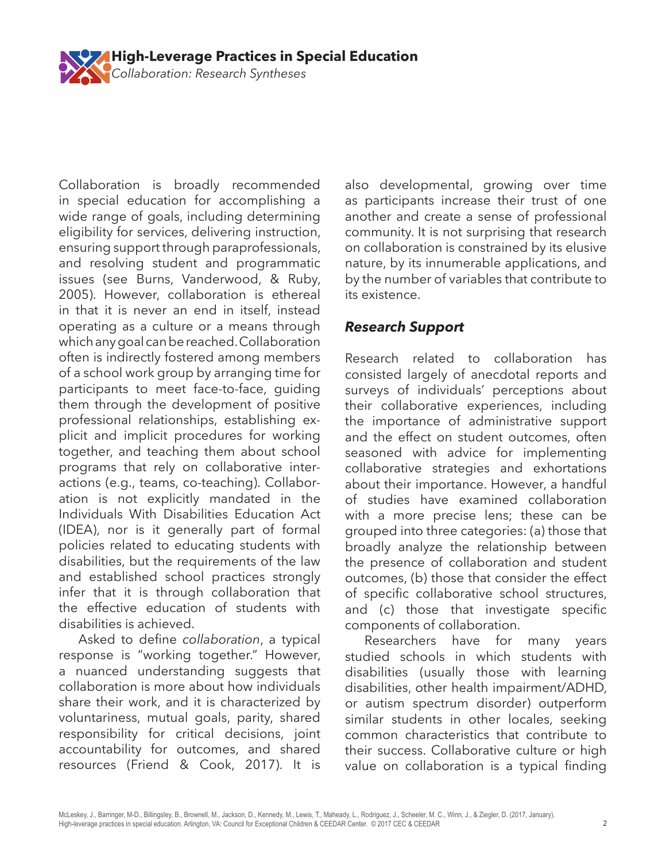

Collaboration is broadly recommended in special education for accomplishing a wide range of goals, including determining eligibility for services, delivering instruction, ensuring support through paraprofessionals, and resolving student and programmatic issues (see Burns, Vanderwood, & Ruby, 2005). However, collaboration is ethereal in that it is never an end in itself, instead operating as a culture or a means through which any goal can be reached. Collaboration often is indirectly fostered among members of a school work group by arranging time for participants to meet face-to-face, guiding them through the development of positive professional relationships, establishing explicit and implicit procedures for working together, and teaching them about school programs that rely on collaborative interactions (e.g., teams, co-teaching). Collaboration is not explicitly mandated in the Individuals With Disabilities Education Act (IDEA), nor is it generally part of formal policies related to educating students with disabilities, but the requirements of the law and established school practices strongly infer that it is through collaboration that the effective education of students with disabilities is achieved.

Asked to define *collaboration*, a typical response is "working together." However, a nuanced understanding suggests that collaboration is more about how individuals share their work, and it is characterized by voluntariness, mutual goals, parity, shared responsibility for critical decisions, joint accountability for outcomes, and shared resources (Friend & Cook, 2017). It is also developmental, growing over time as participants increase their trust of one another and create a sense of professional community. It is not surprising that research on collaboration is constrained by its elusive nature, by its innumerable applications, and by the number of variables that contribute to its existence.

# *Research Support*

Research related to collaboration has consisted largely of anecdotal reports and surveys of individuals' perceptions about their collaborative experiences, including the importance of administrative support and the effect on student outcomes, often seasoned with advice for implementing collaborative strategies and exhortations about their importance. However, a handful of studies have examined collaboration with a more precise lens; these can be grouped into three categories: (a) those that broadly analyze the relationship between the presence of collaboration and student outcomes, (b) those that consider the effect of specific collaborative school structures, and (c) those that investigate specific components of collaboration.

Researchers have for many years studied schools in which students with disabilities (usually those with learning disabilities, other health impairment/ADHD, or autism spectrum disorder) outperform similar students in other locales, seeking common characteristics that contribute to their success. Collaborative culture or high value on collaboration is a typical finding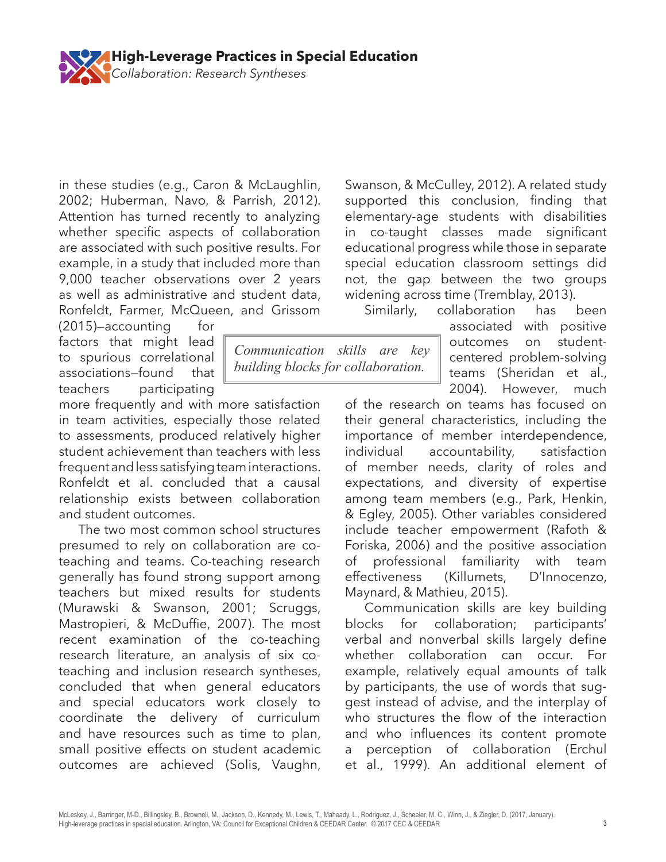

**High-Leverage Practices in Special Education** 

2002; Huberman, Navo, & Parrish, 2012). Attention has turned recently to analyzing whether specific aspects of collaboration are associated with such positive results. For example, in a study that included more than 9,000 teacher observations over 2 years as well as administrative and student data, Ronfeldt, Farmer, McQueen, and Grissom

*Collaboration: Research Syntheses*

 $(2015)$ -accounting for factors that might lead to spurious correlational associations—found that teachers participating

more frequently and with more satisfaction in team activities, especially those related to assessments, produced relatively higher student achievement than teachers with less frequent and less satisfying team interactions. Ronfeldt et al. concluded that a causal relationship exists between collaboration and student outcomes.

The two most common school structures presumed to rely on collaboration are coteaching and teams. Co-teaching research generally has found strong support among teachers but mixed results for students (Murawski & Swanson, 2001; Scruggs, Mastropieri, & McDuffie, 2007). The most recent examination of the co-teaching research literature, an analysis of six coteaching and inclusion research syntheses, concluded that when general educators and special educators work closely to coordinate the delivery of curriculum and have resources such as time to plan, small positive effects on student academic outcomes are achieved (Solis, Vaughn,

Swanson, & McCulley, 2012). A related study supported this conclusion, finding that elementary-age students with disabilities in co-taught classes made significant educational progress while those in separate special education classroom settings did not, the gap between the two groups widening across time (Tremblay, 2013).

Similarly, collaboration has been

associated with positive outcomes on studentcentered problem-solving teams (Sheridan et al., 2004). However, much

of the research on teams has focused on their general characteristics, including the importance of member interdependence, individual accountability, satisfaction of member needs, clarity of roles and expectations, and diversity of expertise among team members (e.g., Park, Henkin, & Egley, 2005). Other variables considered include teacher empowerment (Rafoth & Foriska, 2006) and the positive association of professional familiarity with team effectiveness (Killumets, D'Innocenzo, Maynard, & Mathieu, 2015).

Communication skills are key building blocks for collaboration; participants' verbal and nonverbal skills largely define whether collaboration can occur. For example, relatively equal amounts of talk by participants, the use of words that suggest instead of advise, and the interplay of who structures the flow of the interaction and who influences its content promote a perception of collaboration (Erchul et al., 1999). An additional element of

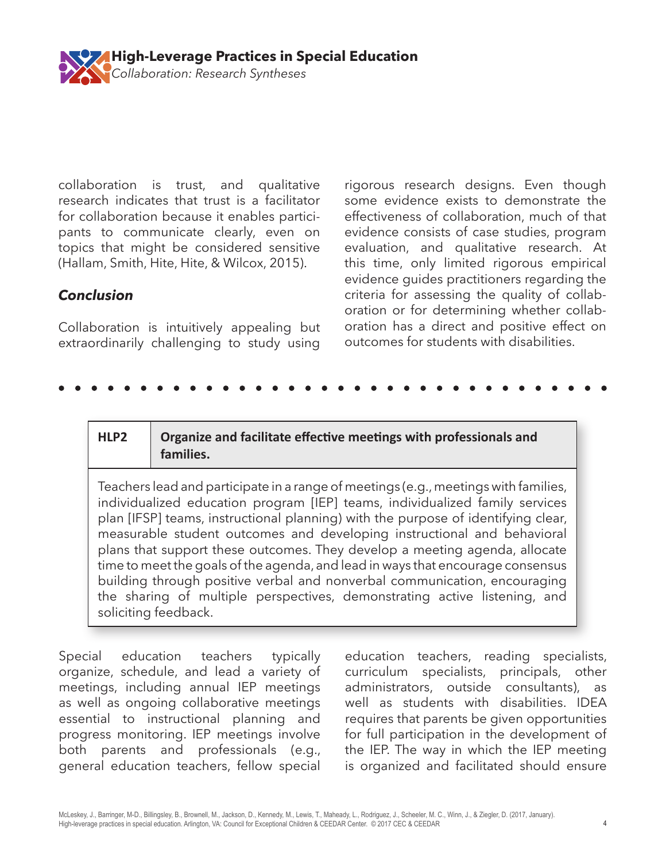

collaboration is trust, and qualitative research indicates that trust is a facilitator for collaboration because it enables participants to communicate clearly, even on topics that might be considered sensitive (Hallam, Smith, Hite, Hite, & Wilcox, 2015).

# *Conclusion*

Collaboration is intuitively appealing but extraordinarily challenging to study using rigorous research designs. Even though some evidence exists to demonstrate the effectiveness of collaboration, much of that evidence consists of case studies, program evaluation, and qualitative research. At this time, only limited rigorous empirical evidence guides practitioners regarding the criteria for assessing the quality of collaboration or for determining whether collaboration has a direct and positive effect on outcomes for students with disabilities.

#### **HLP2 Organize and facilitate effective meetings with professionals and families.**

Teachers lead and participate in a range of meetings (e.g., meetings with families, individualized education program [IEP] teams, individualized family services plan [IFSP] teams, instructional planning) with the purpose of identifying clear, measurable student outcomes and developing instructional and behavioral plans that support these outcomes. They develop a meeting agenda, allocate time to meet the goals of the agenda, and lead in ways that encourage consensus building through positive verbal and nonverbal communication, encouraging the sharing of multiple perspectives, demonstrating active listening, and soliciting feedback.

Special education teachers typically organize, schedule, and lead a variety of meetings, including annual IEP meetings as well as ongoing collaborative meetings essential to instructional planning and progress monitoring. IEP meetings involve both parents and professionals (e.g., general education teachers, fellow special

education teachers, reading specialists, curriculum specialists, principals, other administrators, outside consultants), as well as students with disabilities. IDEA requires that parents be given opportunities for full participation in the development of the IEP. The way in which the IEP meeting is organized and facilitated should ensure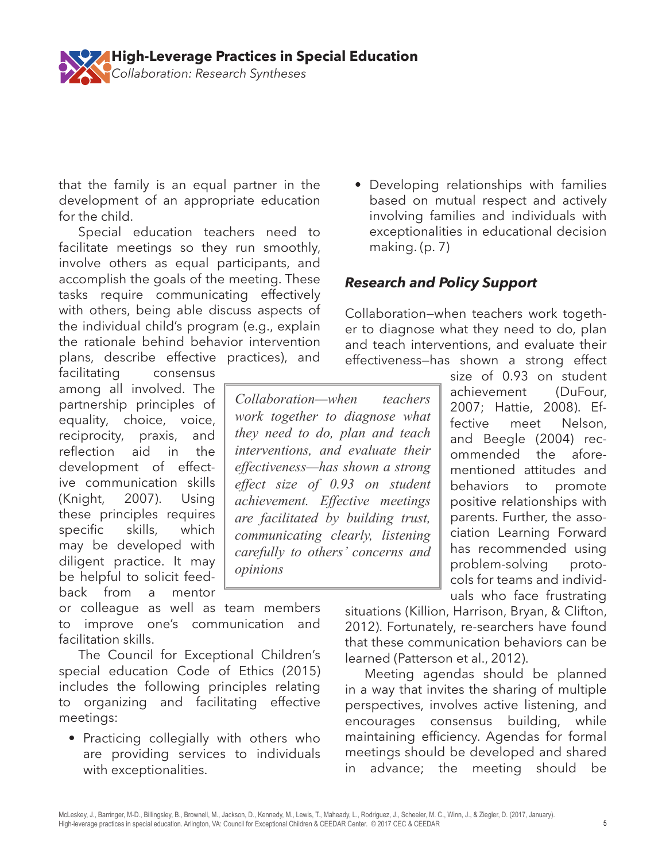

that the family is an equal partner in the development of an appropriate education for the child.

Special education teachers need to facilitate meetings so they run smoothly, involve others as equal participants, and accomplish the goals of the meeting. These tasks require communicating effectively with others, being able discuss aspects of the individual child's program (e.g., explain the rationale behind behavior intervention plans, describe effective practices), and

facilitating consensus among all involved. The partnership principles of equality, choice, voice, reciprocity, praxis, and reflection aid in the development of effective communication skills (Knight, 2007). Using these principles requires specific skills, which may be developed with diligent practice. It may be helpful to solicit feedback from a mentor

or colleague as well as team members to improve one's communication and facilitation skills.

The Council for Exceptional Children's special education Code of Ethics (2015) includes the following principles relating to organizing and facilitating effective meetings:

• Practicing collegially with others who are providing services to individuals with exceptionalities.

• Developing relationships with families based on mutual respect and actively involving families and individuals with exceptionalities in educational decision making. (p. 7)

# *Research and Policy Support*

Collaboration—when teachers work together to diagnose what they need to do, plan and teach interventions, and evaluate their effectiveness—has shown a strong effect

*Collaboration—when teachers work together to diagnose what they need to do, plan and teach interventions, and evaluate their effectiveness—has shown a strong effect size of 0.93 on student achievement. Effective meetings are facilitated by building trust, communicating clearly, listening carefully to others' concerns and opinions* 

size of 0.93 on student achievement (DuFour, 2007; Hattie, 2008). Effective meet Nelson, and Beegle (2004) recommended the aforementioned attitudes and behaviors to promote positive relationships with parents. Further, the association Learning Forward has recommended using problem-solving protocols for teams and individuals who face frustrating

situations (Killion, Harrison, Bryan, & Clifton, 2012). Fortunately, re-searchers have found that these communication behaviors can be learned (Patterson et al., 2012).

Meeting agendas should be planned in a way that invites the sharing of multiple perspectives, involves active listening, and encourages consensus building, while maintaining efficiency. Agendas for formal meetings should be developed and shared in advance; the meeting should be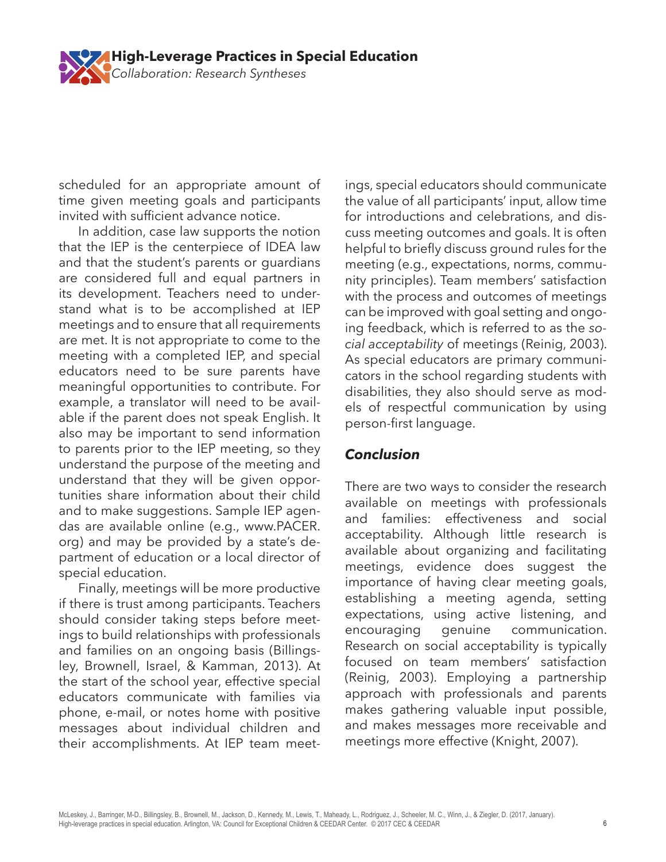

scheduled for an appropriate amount of time given meeting goals and participants invited with sufficient advance notice.

In addition, case law supports the notion that the IEP is the centerpiece of IDEA law and that the student's parents or guardians are considered full and equal partners in its development. Teachers need to understand what is to be accomplished at IEP meetings and to ensure that all requirements are met. It is not appropriate to come to the meeting with a completed IEP, and special educators need to be sure parents have meaningful opportunities to contribute. For example, a translator will need to be available if the parent does not speak English. It also may be important to send information to parents prior to the IEP meeting, so they understand the purpose of the meeting and understand that they will be given opportunities share information about their child and to make suggestions. Sample IEP agendas are available online (e.g., www.PACER. org) and may be provided by a state's department of education or a local director of special education.

Finally, meetings will be more productive if there is trust among participants. Teachers should consider taking steps before meetings to build relationships with professionals and families on an ongoing basis (Billingsley, Brownell, Israel, & Kamman, 2013). At the start of the school year, effective special educators communicate with families via phone, e-mail, or notes home with positive messages about individual children and their accomplishments. At IEP team meet-

ings, special educators should communicate the value of all participants' input, allow time for introductions and celebrations, and discuss meeting outcomes and goals. It is often helpful to briefly discuss ground rules for the meeting (e.g., expectations, norms, community principles). Team members' satisfaction with the process and outcomes of meetings can be improved with goal setting and ongoing feedback, which is referred to as the *social acceptability* of meetings (Reinig, 2003). As special educators are primary communicators in the school regarding students with disabilities, they also should serve as models of respectful communication by using person-first language.

# *Conclusion*

There are two ways to consider the research available on meetings with professionals and families: effectiveness and social acceptability. Although little research is available about organizing and facilitating meetings, evidence does suggest the importance of having clear meeting goals, establishing a meeting agenda, setting expectations, using active listening, and encouraging genuine communication. Research on social acceptability is typically focused on team members' satisfaction (Reinig, 2003). Employing a partnership approach with professionals and parents makes gathering valuable input possible, and makes messages more receivable and meetings more effective (Knight, 2007).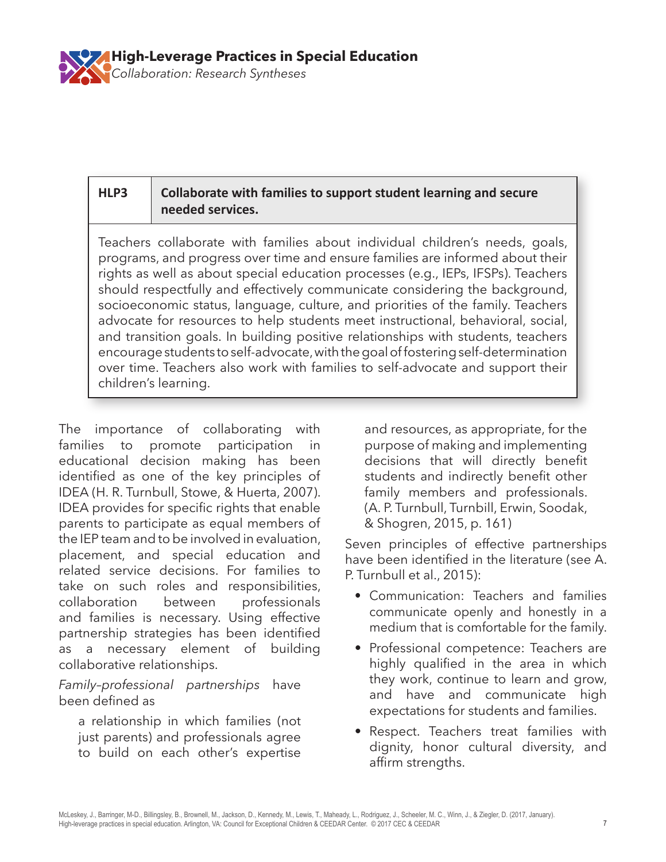

## **HLP3 Collaborate with families to support student learning and secure needed services.**

Teachers collaborate with families about individual children's needs, goals, programs, and progress over time and ensure families are informed about their rights as well as about special education processes (e.g., IEPs, IFSPs). Teachers should respectfully and effectively communicate considering the background, socioeconomic status, language, culture, and priorities of the family. Teachers advocate for resources to help students meet instructional, behavioral, social, and transition goals. In building positive relationships with students, teachers encourage students to self-advocate, with the goal of fostering self-determination over time. Teachers also work with families to self-advocate and support their children's learning.

The importance of collaborating with families to promote participation in educational decision making has been identified as one of the key principles of IDEA (H. R. Turnbull, Stowe, & Huerta, 2007). IDEA provides for specific rights that enable parents to participate as equal members of the IEP team and to be involved in evaluation, placement, and special education and related service decisions. For families to take on such roles and responsibilities, collaboration between professionals and families is necessary. Using effective partnership strategies has been identified as a necessary element of building collaborative relationships.

#### *Family–professional partnerships* have been defined as

a relationship in which families (not just parents) and professionals agree to build on each other's expertise

and resources, as appropriate, for the purpose of making and implementing decisions that will directly benefit students and indirectly benefit other family members and professionals. (A. P. Turnbull, Turnbill, Erwin, Soodak, & Shogren, 2015, p. 161)

Seven principles of effective partnerships have been identified in the literature (see A. P. Turnbull et al., 2015):

- Communication: Teachers and families communicate openly and honestly in a medium that is comfortable for the family.
- Professional competence: Teachers are highly qualified in the area in which they work, continue to learn and grow, and have and communicate high expectations for students and families.
- Respect. Teachers treat families with dignity, honor cultural diversity, and affirm strengths.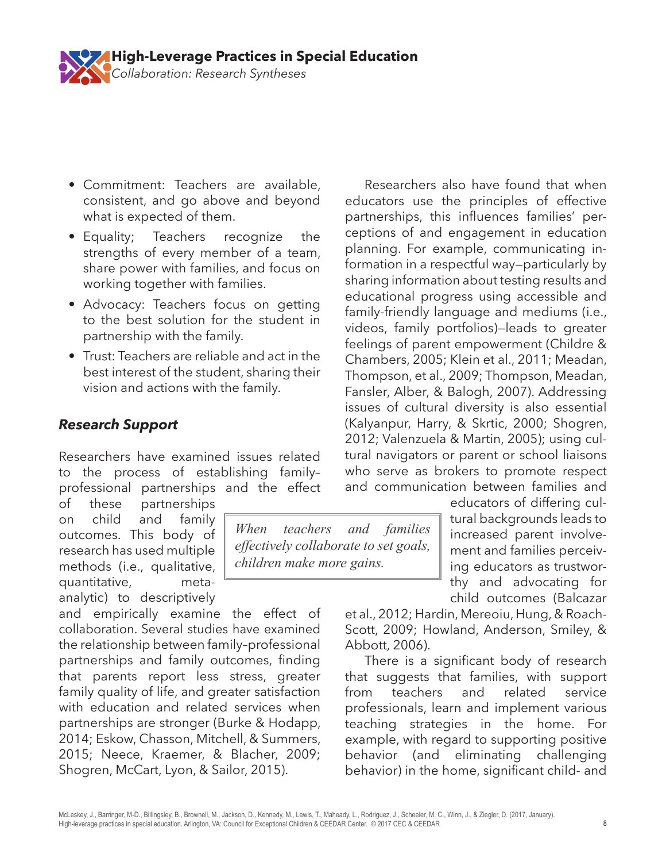

- Commitment: Teachers are available, consistent, and go above and beyond what is expected of them.
- Equality; Teachers recognize the strengths of every member of a team, share power with families, and focus on working together with families.
- Advocacy: Teachers focus on getting to the best solution for the student in partnership with the family.
- Trust: Teachers are reliable and act in the best interest of the student, sharing their vision and actions with the family.

## *Research Support*

Researchers have examined issues related to the process of establishing family– professional partnerships and the effect

of these partnerships on child and family outcomes. This body of research has used multiple methods (i.e., qualitative, quantitative, metaanalytic) to descriptively

and empirically examine the effect of collaboration. Several studies have examined the relationship between family–professional partnerships and family outcomes, finding that parents report less stress, greater family quality of life, and greater satisfaction with education and related services when partnerships are stronger (Burke & Hodapp, 2014; Eskow, Chasson, Mitchell, & Summers, 2015; Neece, Kraemer, & Blacher, 2009; Shogren, McCart, Lyon, & Sailor, 2015).

*When teachers and families effectively collaborate to set goals, children make more gains.*

Researchers also have found that when educators use the principles of effective partnerships, this influences families' perceptions of and engagement in education planning. For example, communicating information in a respectful way—particularly by sharing information about testing results and educational progress using accessible and family-friendly language and mediums (i.e., videos, family portfolios)—leads to greater feelings of parent empowerment (Childre & Chambers, 2005; Klein et al., 2011; Meadan, Thompson, et al., 2009; Thompson, Meadan, Fansler, Alber, & Balogh, 2007). Addressing issues of cultural diversity is also essential (Kalyanpur, Harry, & Skrtic, 2000; Shogren, 2012; Valenzuela & Martin, 2005); using cultural navigators or parent or school liaisons who serve as brokers to promote respect and communication between families and

educators of differing cultural backgrounds leads to increased parent involvement and families perceiving educators as trustworthy and advocating for child outcomes (Balcazar

et al., 2012; Hardin, Mereoiu, Hung, & Roach-Scott, 2009; Howland, Anderson, Smiley, & Abbott, 2006).

There is a significant body of research that suggests that families, with support from teachers and related service professionals, learn and implement various teaching strategies in the home. For example, with regard to supporting positive behavior (and eliminating challenging behavior) in the home, significant child- and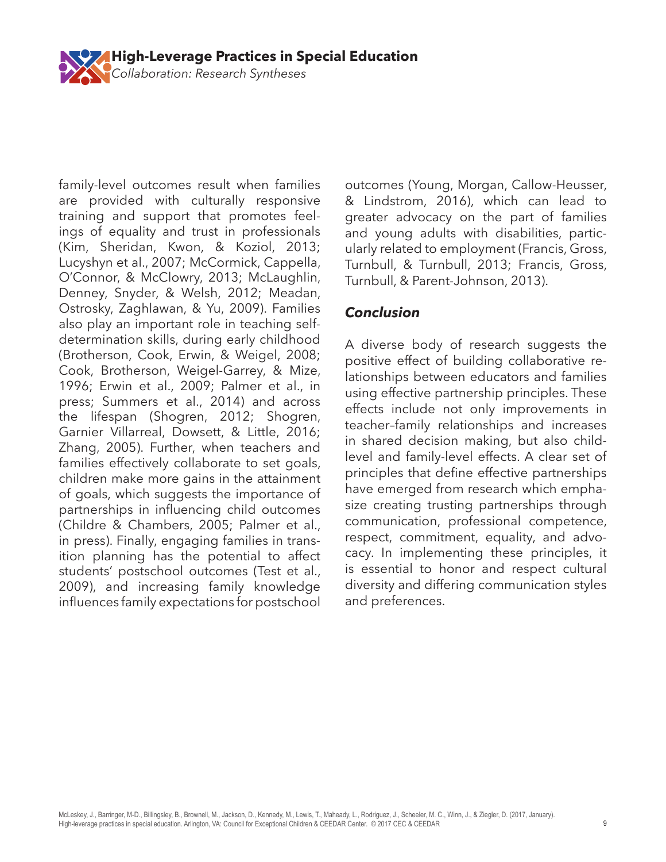

family-level outcomes result when families are provided with culturally responsive training and support that promotes feelings of equality and trust in professionals (Kim, Sheridan, Kwon, & Koziol, 2013; Lucyshyn et al., 2007; McCormick, Cappella, O'Connor, & McClowry, 2013; McLaughlin, Denney, Snyder, & Welsh, 2012; Meadan, Ostrosky, Zaghlawan, & Yu, 2009). Families also play an important role in teaching selfdetermination skills, during early childhood (Brotherson, Cook, Erwin, & Weigel, 2008; Cook, Brotherson, Weigel-Garrey, & Mize, 1996; Erwin et al., 2009; Palmer et al., in press; Summers et al., 2014) and across the lifespan (Shogren, 2012; Shogren, Garnier Villarreal, Dowsett, & Little, 2016; Zhang, 2005). Further, when teachers and families effectively collaborate to set goals, children make more gains in the attainment of goals, which suggests the importance of partnerships in influencing child outcomes (Childre & Chambers, 2005; Palmer et al., in press). Finally, engaging families in transition planning has the potential to affect students' postschool outcomes (Test et al., 2009), and increasing family knowledge influences family expectations for postschool

outcomes (Young, Morgan, Callow-Heusser, & Lindstrom, 2016), which can lead to greater advocacy on the part of families and young adults with disabilities, particularly related to employment (Francis, Gross, Turnbull, & Turnbull, 2013; Francis, Gross, Turnbull, & Parent-Johnson, 2013).

## *Conclusion*

A diverse body of research suggests the positive effect of building collaborative relationships between educators and families using effective partnership principles. These effects include not only improvements in teacher–family relationships and increases in shared decision making, but also childlevel and family-level effects. A clear set of principles that define effective partnerships have emerged from research which emphasize creating trusting partnerships through communication, professional competence, respect, commitment, equality, and advocacy. In implementing these principles, it is essential to honor and respect cultural diversity and differing communication styles and preferences.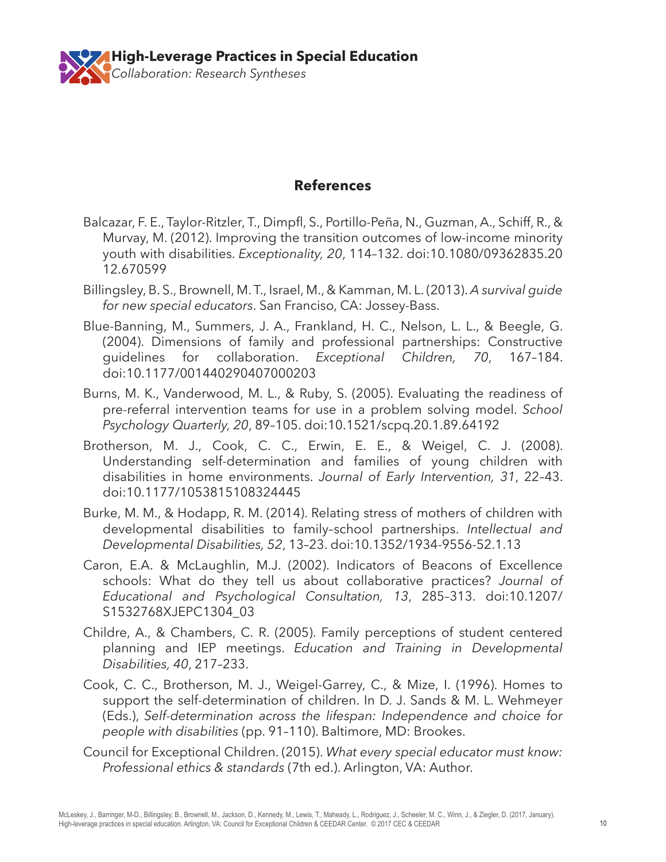

### **References**

- Balcazar, F. E., Taylor-Ritzler, T., Dimpfl, S., Portillo-Peña, N., Guzman, A., Schiff, R., & Murvay, M. (2012). Improving the transition outcomes of low-income minority youth with disabilities. *Exceptionality, 20*, 114–132. doi:10.1080/09362835.20 12.670599
- Billingsley, B. S., Brownell, M. T., Israel, M., & Kamman, M. L. (2013). *A survival guide for new special educators*. San Franciso, CA: Jossey-Bass.
- Blue-Banning, M., Summers, J. A., Frankland, H. C., Nelson, L. L., & Beegle, G. (2004). Dimensions of family and professional partnerships: Constructive guidelines for collaboration. *Exceptional Children, 70*, 167–184. doi:10.1177/001440290407000203
- Burns, M. K., Vanderwood, M. L., & Ruby, S. (2005). Evaluating the readiness of pre-referral intervention teams for use in a problem solving model. *School Psychology Quarterly, 20*, 89–105. doi:10.1521/scpq.20.1.89.64192
- Brotherson, M. J., Cook, C. C., Erwin, E. E., & Weigel, C. J. (2008). Understanding self-determination and families of young children with disabilities in home environments. *Journal of Early Intervention, 31*, 22–43. doi:10.1177/1053815108324445
- Burke, M. M., & Hodapp, R. M. (2014). Relating stress of mothers of children with developmental disabilities to family–school partnerships. *Intellectual and Developmental Disabilities, 52*, 13–23. doi:10.1352/1934-9556-52.1.13
- Caron, E.A. & McLaughlin, M.J. (2002). Indicators of Beacons of Excellence schools: What do they tell us about collaborative practices? *Journal of Educational and Psychological Consultation, 13*, 285–313. doi:10.1207/ S1532768XJEPC1304\_03
- Childre, A., & Chambers, C. R. (2005). Family perceptions of student centered planning and IEP meetings. *Education and Training in Developmental Disabilities, 40*, 217–233.
- Cook, C. C., Brotherson, M. J., Weigel-Garrey, C., & Mize, I. (1996). Homes to support the self-determination of children. In D. J. Sands & M. L. Wehmeyer (Eds.), *Self-determination across the lifespan: Independence and choice for people with disabilities* (pp. 91–110). Baltimore, MD: Brookes.
- Council for Exceptional Children. (2015). *What every special educator must know: Professional ethics & standards* (7th ed.). Arlington, VA: Author.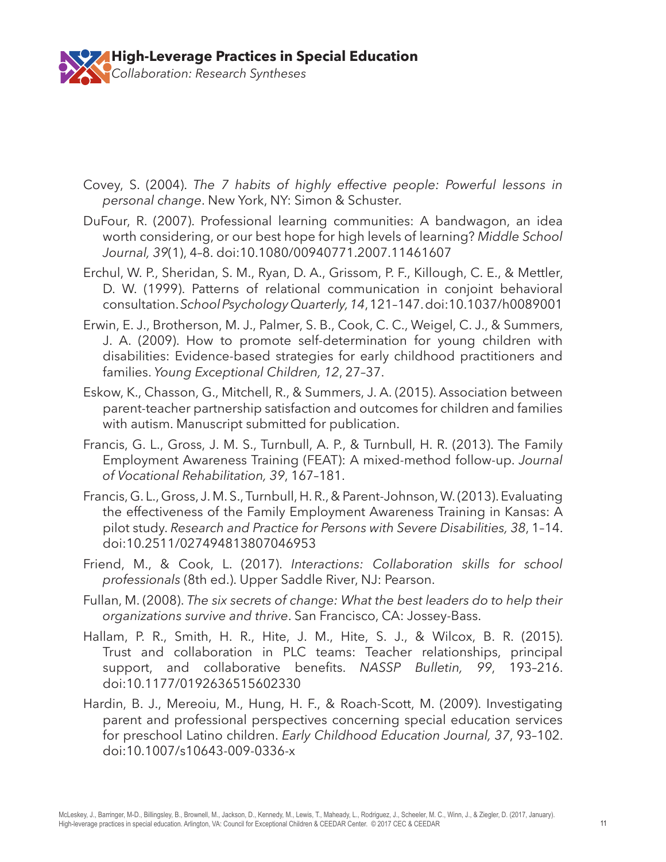

- Covey, S. (2004). *The 7 habits of highly effective people: Powerful lessons in personal change*. New York, NY: Simon & Schuster.
- DuFour, R. (2007). Professional learning communities: A bandwagon, an idea worth considering, or our best hope for high levels of learning? *Middle School Journal, 39*(1), 4–8. doi:10.1080/00940771.2007.11461607
- Erchul, W. P., Sheridan, S. M., Ryan, D. A., Grissom, P. F., Killough, C. E., & Mettler, D. W. (1999). Patterns of relational communication in conjoint behavioral consultation. *School Psychology Quarterly, 14*, 121–147. doi:10.1037/h0089001
- Erwin, E. J., Brotherson, M. J., Palmer, S. B., Cook, C. C., Weigel, C. J., & Summers, J. A. (2009). How to promote self-determination for young children with disabilities: Evidence-based strategies for early childhood practitioners and families. *Young Exceptional Children, 12*, 27–37.
- Eskow, K., Chasson, G., Mitchell, R., & Summers, J. A. (2015). Association between parent-teacher partnership satisfaction and outcomes for children and families with autism. Manuscript submitted for publication.
- Francis, G. L., Gross, J. M. S., Turnbull, A. P., & Turnbull, H. R. (2013). The Family Employment Awareness Training (FEAT): A mixed-method follow-up. *Journal of Vocational Rehabilitation, 39*, 167–181.
- Francis, G. L., Gross, J. M. S., Turnbull, H. R., & Parent-Johnson, W. (2013). Evaluating the effectiveness of the Family Employment Awareness Training in Kansas: A pilot study. *Research and Practice for Persons with Severe Disabilities, 38*, 1–14. doi:10.2511/027494813807046953
- Friend, M., & Cook, L. (2017). *Interactions: Collaboration skills for school professionals* (8th ed.). Upper Saddle River, NJ: Pearson.
- Fullan, M. (2008). *The six secrets of change: What the best leaders do to help their organizations survive and thrive*. San Francisco, CA: Jossey-Bass.
- Hallam, P. R., Smith, H. R., Hite, J. M., Hite, S. J., & Wilcox, B. R. (2015). Trust and collaboration in PLC teams: Teacher relationships, principal support, and collaborative benefits. *NASSP Bulletin, 99*, 193–216. doi:10.1177/0192636515602330
- Hardin, B. J., Mereoiu, M., Hung, H. F., & Roach-Scott, M. (2009). Investigating parent and professional perspectives concerning special education services for preschool Latino children. *Early Childhood Education Journal, 37*, 93–102. doi:10.1007/s10643-009-0336-x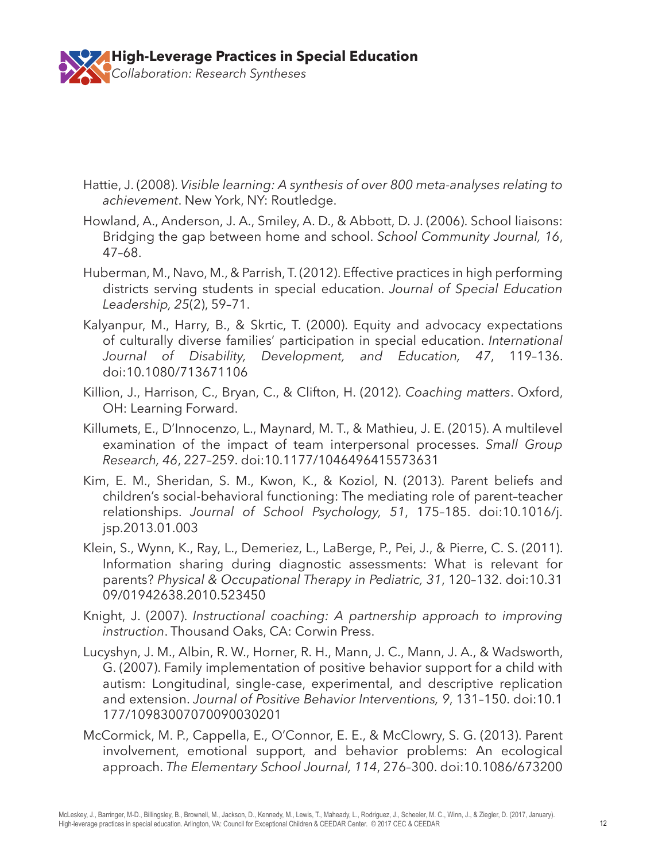

- Hattie, J. (2008). *Visible learning: A synthesis of over 800 meta-analyses relating to achievement*. New York, NY: Routledge.
- Howland, A., Anderson, J. A., Smiley, A. D., & Abbott, D. J. (2006). School liaisons: Bridging the gap between home and school. *School Community Journal, 16*, 47–68.
- Huberman, M., Navo, M., & Parrish, T. (2012). Effective practices in high performing districts serving students in special education. *Journal of Special Education Leadership, 25*(2), 59–71.
- Kalyanpur, M., Harry, B., & Skrtic, T. (2000). Equity and advocacy expectations of culturally diverse families' participation in special education. *International Journal of Disability, Development, and Education, 47*, 119–136. doi:10.1080/713671106
- Killion, J., Harrison, C., Bryan, C., & Clifton, H. (2012). *Coaching matters*. Oxford, OH: Learning Forward.
- Killumets, E., D'Innocenzo, L., Maynard, M. T., & Mathieu, J. E. (2015). A multilevel examination of the impact of team interpersonal processes. *Small Group Research, 46*, 227–259. doi:10.1177/1046496415573631
- Kim, E. M., Sheridan, S. M., Kwon, K., & Koziol, N. (2013). Parent beliefs and children's social-behavioral functioning: The mediating role of parent–teacher relationships. *Journal of School Psychology, 51*, 175–185. doi:10.1016/j. jsp.2013.01.003
- Klein, S., Wynn, K., Ray, L., Demeriez, L., LaBerge, P., Pei, J., & Pierre, C. S. (2011). Information sharing during diagnostic assessments: What is relevant for parents? *Physical & Occupational Therapy in Pediatric, 31*, 120–132. doi:10.31 09/01942638.2010.523450
- Knight, J. (2007). *Instructional coaching: A partnership approach to improving instruction*. Thousand Oaks, CA: Corwin Press.
- Lucyshyn, J. M., Albin, R. W., Horner, R. H., Mann, J. C., Mann, J. A., & Wadsworth, G. (2007). Family implementation of positive behavior support for a child with autism: Longitudinal, single-case, experimental, and descriptive replication and extension. *Journal of Positive Behavior Interventions, 9*, 131–150. doi:10.1 177/10983007070090030201
- McCormick, M. P., Cappella, E., O'Connor, E. E., & McClowry, S. G. (2013). Parent involvement, emotional support, and behavior problems: An ecological approach. *The Elementary School Journal, 114*, 276–300. doi:10.1086/673200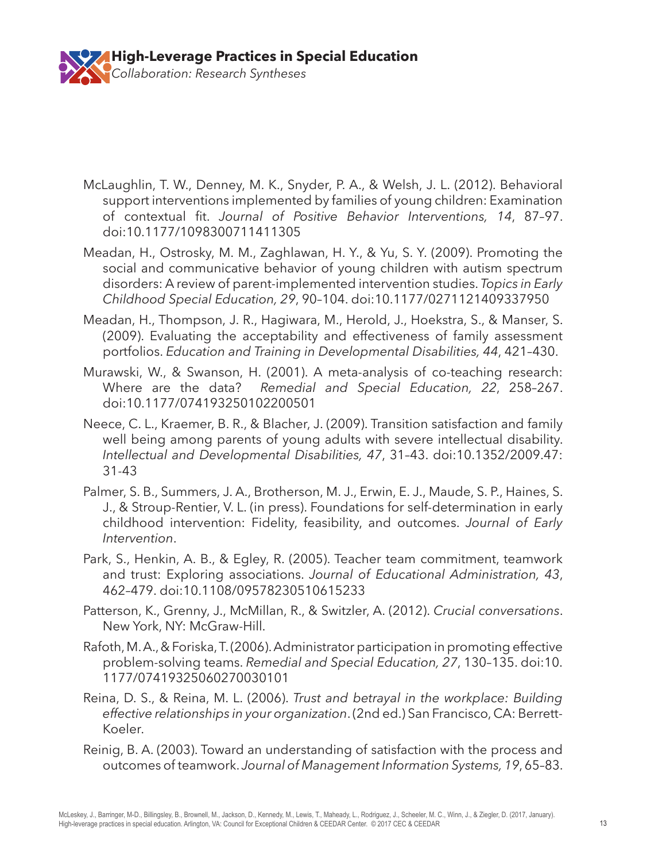

- McLaughlin, T. W., Denney, M. K., Snyder, P. A., & Welsh, J. L. (2012). Behavioral support interventions implemented by families of young children: Examination of contextual fit. *Journal of Positive Behavior Interventions, 14*, 87–97. doi:10.1177/1098300711411305
- Meadan, H., Ostrosky, M. M., Zaghlawan, H. Y., & Yu, S. Y. (2009). Promoting the social and communicative behavior of young children with autism spectrum disorders: A review of parent-implemented intervention studies. *Topics in Early Childhood Special Education, 29*, 90–104. doi:10.1177/0271121409337950
- Meadan, H., Thompson, J. R., Hagiwara, M., Herold, J., Hoekstra, S., & Manser, S. (2009). Evaluating the acceptability and effectiveness of family assessment portfolios. *Education and Training in Developmental Disabilities, 44*, 421–430.
- Murawski, W., & Swanson, H. (2001). A meta-analysis of co-teaching research: Where are the data? *Remedial and Special Education, 22*, 258–267. doi:10.1177/074193250102200501
- Neece, C. L., Kraemer, B. R., & Blacher, J. (2009). Transition satisfaction and family well being among parents of young adults with severe intellectual disability. *Intellectual and Developmental Disabilities, 47*, 31–43. doi:10.1352/2009.47: 31-43
- Palmer, S. B., Summers, J. A., Brotherson, M. J., Erwin, E. J., Maude, S. P., Haines, S. J., & Stroup-Rentier, V. L. (in press). Foundations for self-determination in early childhood intervention: Fidelity, feasibility, and outcomes. *Journal of Early Intervention*.
- Park, S., Henkin, A. B., & Egley, R. (2005). Teacher team commitment, teamwork and trust: Exploring associations. *Journal of Educational Administration, 43*, 462–479. doi:10.1108/09578230510615233
- Patterson, K., Grenny, J., McMillan, R., & Switzler, A. (2012). *Crucial conversations*. New York, NY: McGraw-Hill.
- Rafoth, M. A., & Foriska, T. (2006). Administrator participation in promoting effective problem-solving teams. *Remedial and Special Education, 27*, 130–135. doi:10. 1177/07419325060270030101
- Reina, D. S., & Reina, M. L. (2006). *Trust and betrayal in the workplace: Building effective relationships in your organization*. (2nd ed.) San Francisco, CA: Berrett-Koeler.
- Reinig, B. A. (2003). Toward an understanding of satisfaction with the process and outcomes of teamwork. *Journal of Management Information Systems, 19*, 65–83.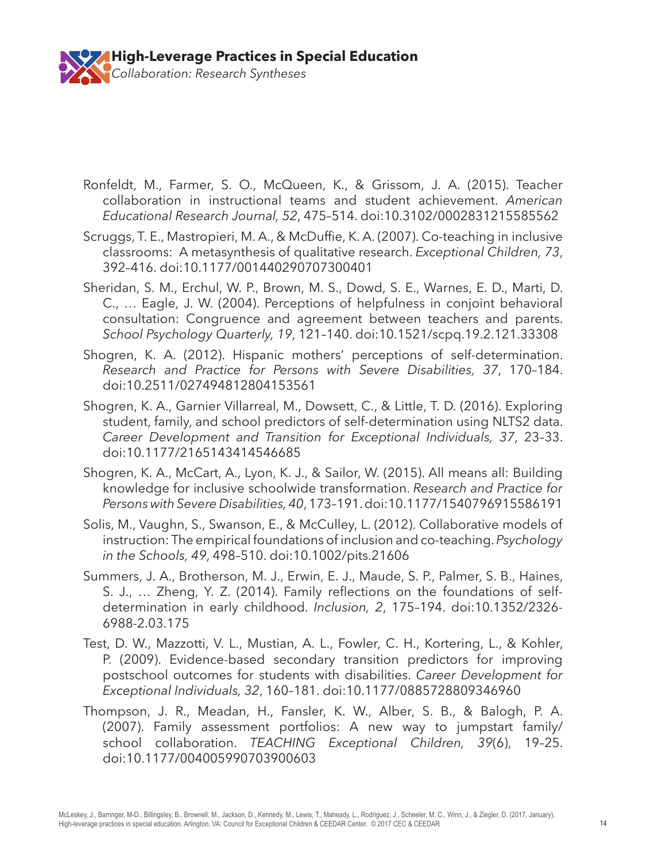

- Ronfeldt, M., Farmer, S. O., McQueen, K., & Grissom, J. A. (2015). Teacher collaboration in instructional teams and student achievement. *American Educational Research Journal, 52*, 475–514. doi:10.3102/0002831215585562
- Scruggs, T. E., Mastropieri, M. A., & McDuffie, K. A. (2007). Co-teaching in inclusive classrooms: A metasynthesis of qualitative research. *Exceptional Children, 73*, 392–416. doi:10.1177/001440290707300401
- Sheridan, S. M., Erchul, W. P., Brown, M. S., Dowd, S. E., Warnes, E. D., Marti, D. C., … Eagle, J. W. (2004). Perceptions of helpfulness in conjoint behavioral consultation: Congruence and agreement between teachers and parents. *School Psychology Quarterly, 19*, 121–140. doi:10.1521/scpq.19.2.121.33308
- Shogren, K. A. (2012). Hispanic mothers' perceptions of self-determination. *Research and Practice for Persons with Severe Disabilities, 37*, 170–184. doi:10.2511/027494812804153561
- Shogren, K. A., Garnier Villarreal, M., Dowsett, C., & Little, T. D. (2016). Exploring student, family, and school predictors of self-determination using NLTS2 data. *Career Development and Transition for Exceptional Individuals, 37*, 23–33. doi:10.1177/2165143414546685
- Shogren, K. A., McCart, A., Lyon, K. J., & Sailor, W. (2015). All means all: Building knowledge for inclusive schoolwide transformation. *Research and Practice for Persons with Severe Disabilities, 40*, 173–191. doi:10.1177/1540796915586191
- Solis, M., Vaughn, S., Swanson, E., & McCulley, L. (2012). Collaborative models of instruction: The empirical foundations of inclusion and co-teaching. *Psychology in the Schools, 49*, 498–510. doi:10.1002/pits.21606
- Summers, J. A., Brotherson, M. J., Erwin, E. J., Maude, S. P., Palmer, S. B., Haines, S. J., … Zheng, Y. Z. (2014). Family reflections on the foundations of selfdetermination in early childhood. *Inclusion, 2*, 175–194. doi:10.1352/2326- 6988-2.03.175
- Test, D. W., Mazzotti, V. L., Mustian, A. L., Fowler, C. H., Kortering, L., & Kohler, P. (2009). Evidence-based secondary transition predictors for improving postschool outcomes for students with disabilities. *Career Development for Exceptional Individuals, 32*, 160–181. doi:10.1177/0885728809346960
- Thompson, J. R., Meadan, H., Fansler, K. W., Alber, S. B., & Balogh, P. A. (2007). Family assessment portfolios: A new way to jumpstart family/ school collaboration. *TEACHING Exceptional Children, 39*(6), 19–25. doi:10.1177/004005990703900603